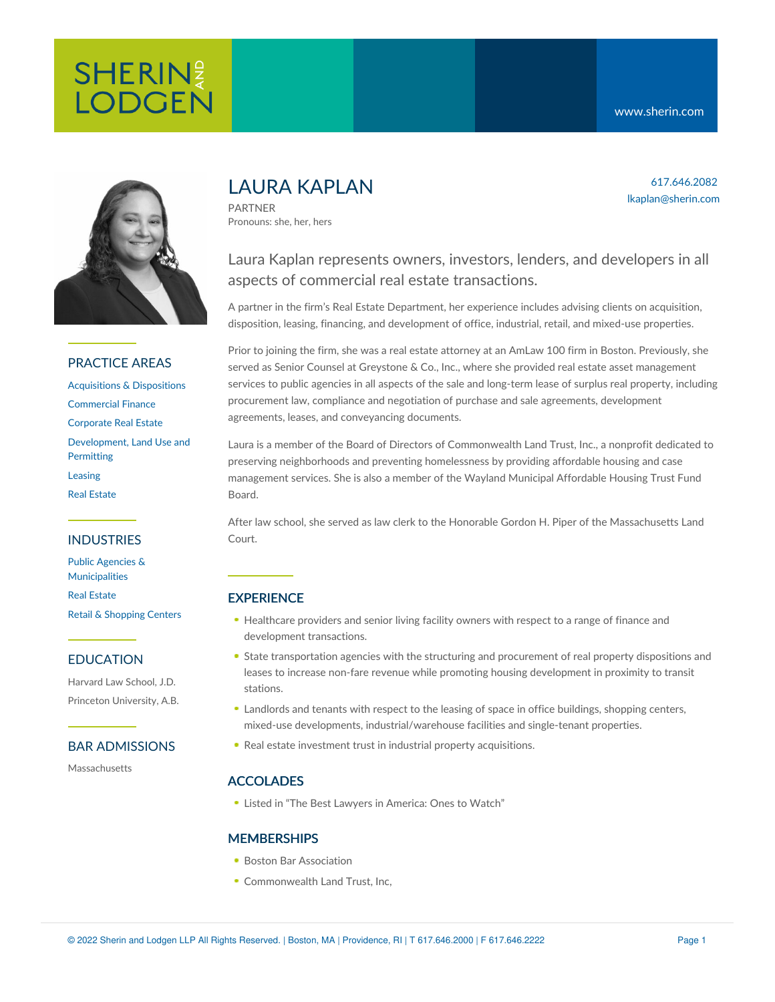617.646.2082 lkaplan@sherin.com



### PRACTICE AREAS

[Acquisitions](https://www.sherin.com/practice-areas/real-estate/acquisitions-and-dispositions/) & Dispositions [Commercial](https://www.sherin.com/practice-areas/commercial-finance/) Finance [Corporate](https://www.sherin.com/practice-areas/real-estate/corporate-real-estate/) Real Estate [Development,](https://www.sherin.com/practice-areas/real-estate/development/) Land Use and **Permitting** [Leasing](https://www.sherin.com/practice-areas/real-estate/leasing/) Real [Estate](https://www.sherin.com/practice-areas/real-estate/)

### INDUSTRIES

Public Agencies & [Municipalities](https://www.sherin.com/industries/public-agencies-and-municipalities/) Real [Estate](https://www.sherin.com/industries/real-estate/) Retail & [Shopping](https://www.sherin.com/industries/retail-shopping-centers/) Centers

### EDUCATION

Harvard Law School, J.D. Princeton University, A.B.

### BAR ADMISSIONS

Massachusetts

# LAURA KAPI AN

PARTNER Pronouns: she, her, hers

# Laura Kaplan represents owners, investors, lenders, and developers in all aspects of commercial real estate transactions.

A partner in the firm's Real Estate Department, her experience includes advising clients on acquisition, disposition, leasing, financing, and development of office, industrial, retail, and mixed-use properties.

Prior to joining the firm, she was a real estate attorney at an AmLaw 100 firm in Boston. Previously, she served as Senior Counsel at Greystone & Co., Inc., where she provided real estate asset management services to public agencies in all aspects of the sale and long-term lease of surplus real property, including procurement law, compliance and negotiation of purchase and sale agreements, development agreements, leases, and conveyancing documents.

Laura is a member of the Board of Directors of Commonwealth Land Trust, Inc., a nonprofit dedicated to preserving neighborhoods and preventing homelessness by providing affordable housing and case management services. She is also a member of the Wayland Municipal Affordable Housing Trust Fund Board.

After law school, she served as law clerk to the Honorable Gordon H. Piper of the Massachusetts Land Court.

## **EXPERIENCE**

- Healthcare providers and senior living facility owners with respect to a range of finance and development transactions.
- State transportation agencies with the structuring and procurement of real property dispositions and leases to increase non-fare revenue while promoting housing development in proximity to transit stations.
- Landlords and tenants with respect to the leasing of space in office buildings, shopping centers, mixed-use developments, industrial/warehouse facilities and single-tenant properties.
- Real estate investment trust in industrial property acquisitions.

### ACCOLADES

Listed in "The Best Lawyers in America: Ones to Watch"

### **MEMBERSHIPS**

- Boston Bar Association
- Commonwealth Land Trust, Inc.